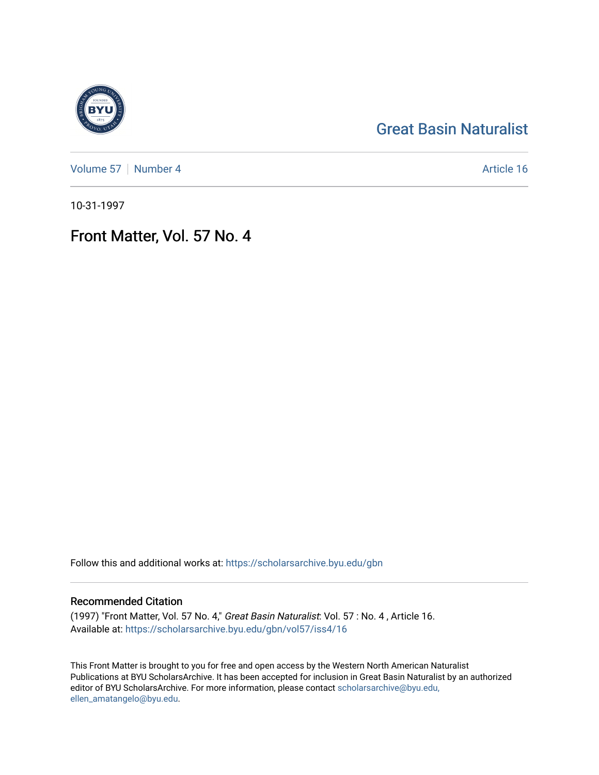# [Great Basin Naturalist](https://scholarsarchive.byu.edu/gbn)

[Volume 57](https://scholarsarchive.byu.edu/gbn/vol57) | [Number 4](https://scholarsarchive.byu.edu/gbn/vol57/iss4) Article 16

10-31-1997

# Front Matter, Vol. 57 No. 4

Follow this and additional works at: [https://scholarsarchive.byu.edu/gbn](https://scholarsarchive.byu.edu/gbn?utm_source=scholarsarchive.byu.edu%2Fgbn%2Fvol57%2Fiss4%2F16&utm_medium=PDF&utm_campaign=PDFCoverPages) 

## Recommended Citation

(1997) "Front Matter, Vol. 57 No. 4," Great Basin Naturalist: Vol. 57 : No. 4 , Article 16. Available at: [https://scholarsarchive.byu.edu/gbn/vol57/iss4/16](https://scholarsarchive.byu.edu/gbn/vol57/iss4/16?utm_source=scholarsarchive.byu.edu%2Fgbn%2Fvol57%2Fiss4%2F16&utm_medium=PDF&utm_campaign=PDFCoverPages) 

This Front Matter is brought to you for free and open access by the Western North American Naturalist Publications at BYU ScholarsArchive. It has been accepted for inclusion in Great Basin Naturalist by an authorized editor of BYU ScholarsArchive. For more information, please contact [scholarsarchive@byu.edu,](mailto:scholarsarchive@byu.edu,%20ellen_amatangelo@byu.edu) [ellen\\_amatangelo@byu.edu](mailto:scholarsarchive@byu.edu,%20ellen_amatangelo@byu.edu).

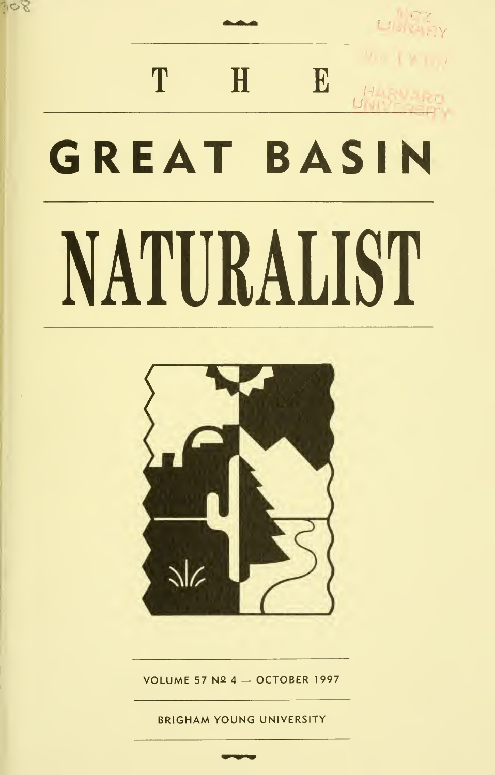# LINCEY T  $H$ E **GREAT BASIN** NATURALIST

 $SO^7$ 



VOLUME 57 Nº 4 - OCTOBER 1997

**BRIGHAM YOUNG UNIVERSITY**